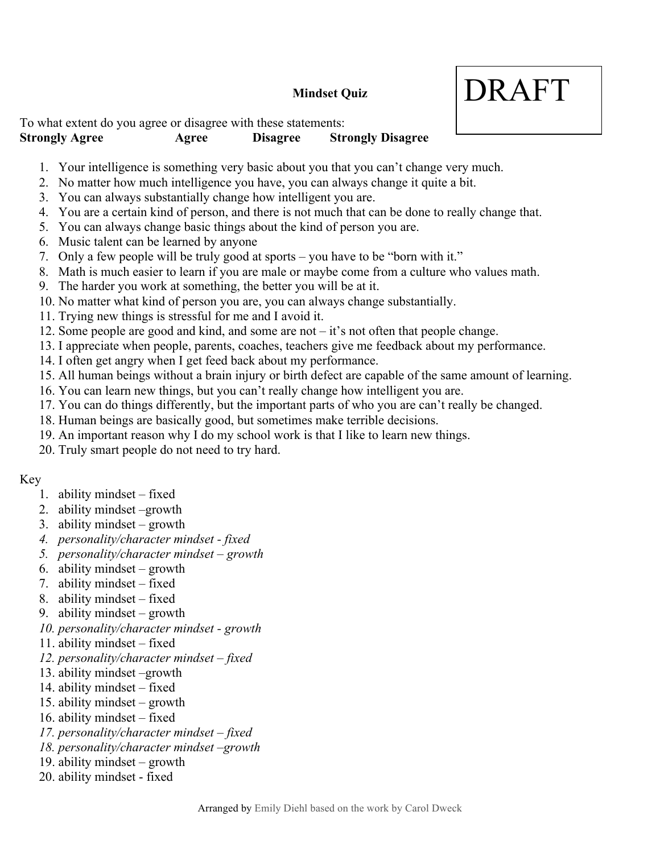#### **Mindset Quiz**

DRAFT

## To what extent do you agree or disagree with these statements:

### **Strongly Agree Agree Disagree Strongly Disagree**

- 1. Your intelligence is something very basic about you that you can't change very much.
- 2. No matter how much intelligence you have, you can always change it quite a bit.
- 3. You can always substantially change how intelligent you are.
- 4. You are a certain kind of person, and there is not much that can be done to really change that.
- 5. You can always change basic things about the kind of person you are.
- 6. Music talent can be learned by anyone
- 7. Only a few people will be truly good at sports you have to be "born with it."
- 8. Math is much easier to learn if you are male or maybe come from a culture who values math.
- 9. The harder you work at something, the better you will be at it.
- 10. No matter what kind of person you are, you can always change substantially.
- 11. Trying new things is stressful for me and I avoid it.
- 12. Some people are good and kind, and some are not it's not often that people change.
- 13. I appreciate when people, parents, coaches, teachers give me feedback about my performance.
- 14. I often get angry when I get feed back about my performance.
- 15. All human beings without a brain injury or birth defect are capable of the same amount of learning.
- 16. You can learn new things, but you can't really change how intelligent you are.
- 17. You can do things differently, but the important parts of who you are can't really be changed.
- 18. Human beings are basically good, but sometimes make terrible decisions.
- 19. An important reason why I do my school work is that I like to learn new things.
- 20. Truly smart people do not need to try hard.

#### Key

- 1. ability mindset fixed
- 2. ability mindset –growth
- 3. ability mindset growth
- *4. personality/character mindset - fixed*
- *5. personality/character mindset – growth*
- 6. ability mindset growth
- 7. ability mindset fixed
- 8. ability mindset fixed
- 9. ability mindset growth
- *10. personality/character mindset - growth*
- 11. ability mindset fixed
- *12. personality/character mindset – fixed*
- 13. ability mindset –growth
- 14. ability mindset fixed
- 15. ability mindset growth
- 16. ability mindset fixed
- *17. personality/character mindset – fixed*
- *18. personality/character mindset –growth*
- 19. ability mindset growth
- 20. ability mindset fixed